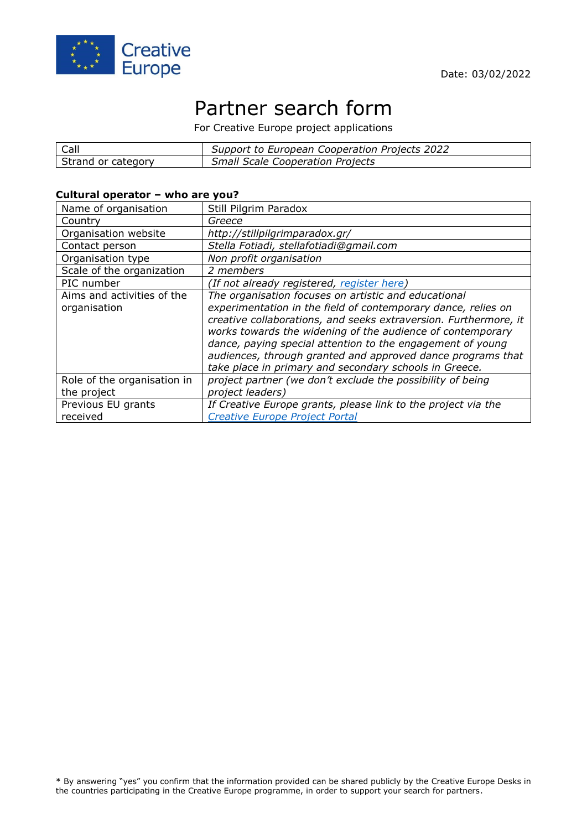

# Partner search form

For Creative Europe project applications

| Call               | Support to European Cooperation Projects 2022 |
|--------------------|-----------------------------------------------|
| Strand or category | <b>Small Scale Cooperation Projects</b>       |

### **Cultural operator – who are you?**

| Name of organisation                       | Still Pilgrim Paradox                                                                                                                                                                                                                                                                                                                                                                                                                          |
|--------------------------------------------|------------------------------------------------------------------------------------------------------------------------------------------------------------------------------------------------------------------------------------------------------------------------------------------------------------------------------------------------------------------------------------------------------------------------------------------------|
| Country                                    | Greece                                                                                                                                                                                                                                                                                                                                                                                                                                         |
| Organisation website                       | http://stillpilgrimparadox.gr/                                                                                                                                                                                                                                                                                                                                                                                                                 |
| Contact person                             | Stella Fotiadi, stellafotiadi@gmail.com                                                                                                                                                                                                                                                                                                                                                                                                        |
| Organisation type                          | Non profit organisation                                                                                                                                                                                                                                                                                                                                                                                                                        |
| Scale of the organization                  | 2 members                                                                                                                                                                                                                                                                                                                                                                                                                                      |
| PIC number                                 | (If not already registered, register here)                                                                                                                                                                                                                                                                                                                                                                                                     |
| Aims and activities of the<br>organisation | The organisation focuses on artistic and educational<br>experimentation in the field of contemporary dance, relies on<br>creative collaborations, and seeks extraversion. Furthermore, it<br>works towards the widening of the audience of contemporary<br>dance, paying special attention to the engagement of young<br>audiences, through granted and approved dance programs that<br>take place in primary and secondary schools in Greece. |
| Role of the organisation in                | project partner (we don't exclude the possibility of being                                                                                                                                                                                                                                                                                                                                                                                     |
| the project                                | project leaders)                                                                                                                                                                                                                                                                                                                                                                                                                               |
| Previous EU grants                         | If Creative Europe grants, please link to the project via the                                                                                                                                                                                                                                                                                                                                                                                  |
| received                                   | <b>Creative Europe Project Portal</b>                                                                                                                                                                                                                                                                                                                                                                                                          |